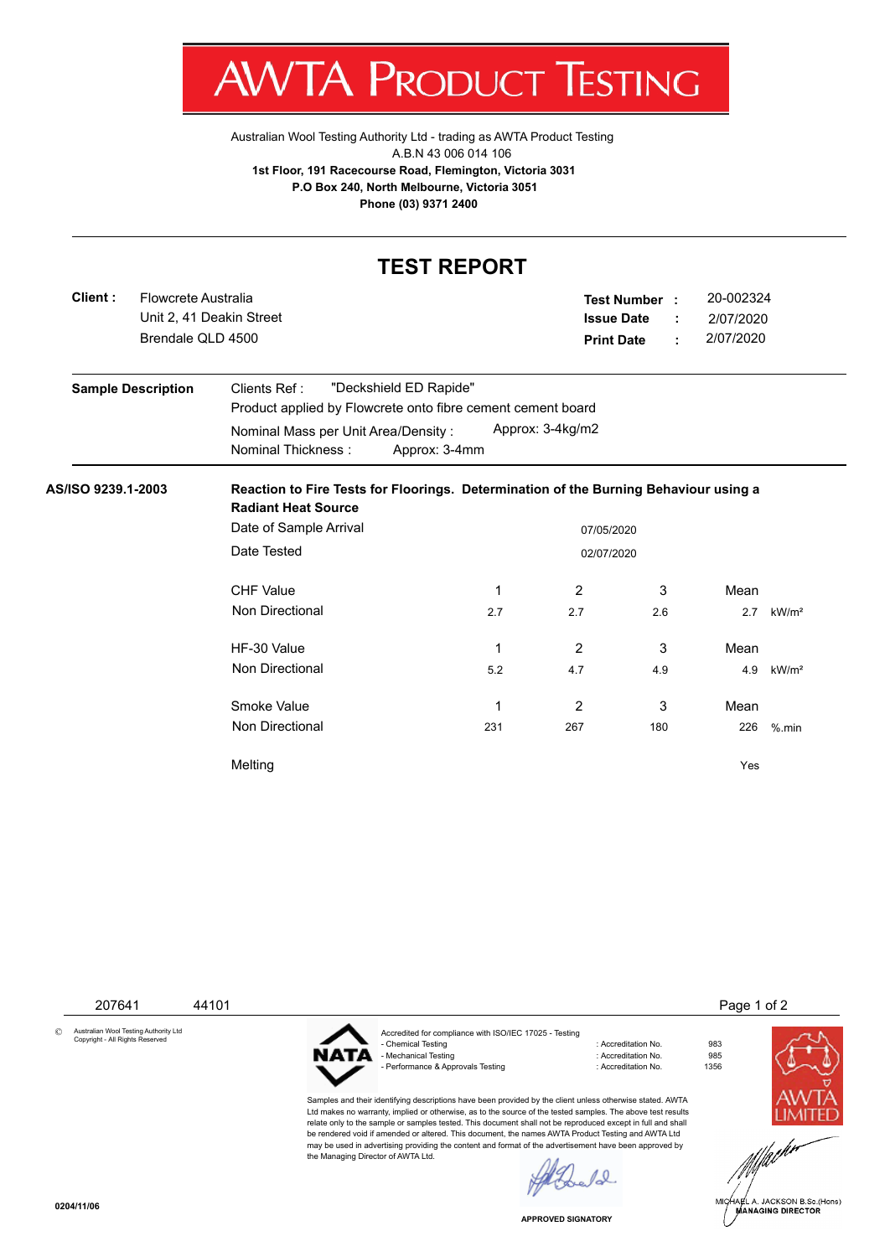

Australian Wool Testing Authority Ltd - trading as AWTA Product Testing A.B.N 43 006 014 106 **1st Floor, 191 Racecourse Road, Flemington, Victoria 3031 P.O Box 240, North Melbourne, Victoria 3051 Phone (03) 9371 2400**

## **TEST REPORT**

| Client:                   | Flowcrete Australia<br>Brendale QLD 4500 | Unit 2, 41 Deakin Street                                                                                           |               | <b>Issue Date</b><br><b>Print Date</b> | Test Number : | ÷<br>÷ | 20-002324<br>2/07/2020<br>2/07/2020 |                   |  |
|---------------------------|------------------------------------------|--------------------------------------------------------------------------------------------------------------------|---------------|----------------------------------------|---------------|--------|-------------------------------------|-------------------|--|
| <b>Sample Description</b> |                                          | "Deckshield ED Rapide"<br>Clients Ref:<br>Product applied by Flowcrete onto fibre cement cement board              |               |                                        |               |        |                                     |                   |  |
|                           |                                          | Nominal Mass per Unit Area/Density:<br>Nominal Thickness:                                                          | Approx: 3-4mm | Approx: 3-4kg/m2                       |               |        |                                     |                   |  |
| AS/ISO 9239.1-2003        |                                          | Reaction to Fire Tests for Floorings. Determination of the Burning Behaviour using a<br><b>Radiant Heat Source</b> |               |                                        |               |        |                                     |                   |  |
|                           |                                          | Date of Sample Arrival<br>07/05/2020                                                                               |               |                                        |               |        |                                     |                   |  |
|                           |                                          | Date Tested<br>02/07/2020                                                                                          |               |                                        |               |        |                                     |                   |  |
|                           |                                          | <b>CHF Value</b>                                                                                                   | 1             | $\overline{2}$                         | 3             |        | Mean                                |                   |  |
|                           |                                          | Non Directional                                                                                                    | 2.7           | 2.7                                    | 2.6           |        | 2.7                                 | kW/m <sup>2</sup> |  |
|                           |                                          | HF-30 Value                                                                                                        | 1             | 2                                      | 3             |        | Mean                                |                   |  |
|                           |                                          | Non Directional                                                                                                    | 5.2           | 4.7                                    | 4.9           |        | 4.9                                 | kW/m <sup>2</sup> |  |
|                           |                                          | Smoke Value                                                                                                        | 1             | 2                                      | 3             |        | Mean                                |                   |  |
|                           |                                          | Non Directional                                                                                                    | 231           | 267                                    | 180           |        | 226                                 | $%$ .min          |  |
|                           |                                          | Melting                                                                                                            |               |                                        |               |        | Yes                                 |                   |  |

 207641 44101 Page 1 of 2 © Australian Wool Testing Authority Ltd Copyright - All Rights Reserved Accredited for compliance with ISO/IEC 17025 - Testing - Chemical Testing : Accreditation No. 983 ATA - Mechanical Testing - Performance & Approvals Testing in the matrix of the contract of Accreditation No. 1356 Samples and their identifying descriptions have been provided by the client unless otherwise stated. AWTA Ltd makes no warranty, implied or otherwise, as to the source of the tested samples. The above test results relate only to the sample or samples tested. This document shall not be reproduced except in full and shall be rendered void if amended or altered. This document, the names AWTA Product Testing and AWTA Ltd may be used in advertising providing the content and format of the advertisement have been approved by the Managing Director of AWTA Ltd. $\sqrt{2}$ HARL A. JACKSON B.Sc.(Hons)<br>MANAGING DIRECTOR

**APPROVED SIGNATORY**